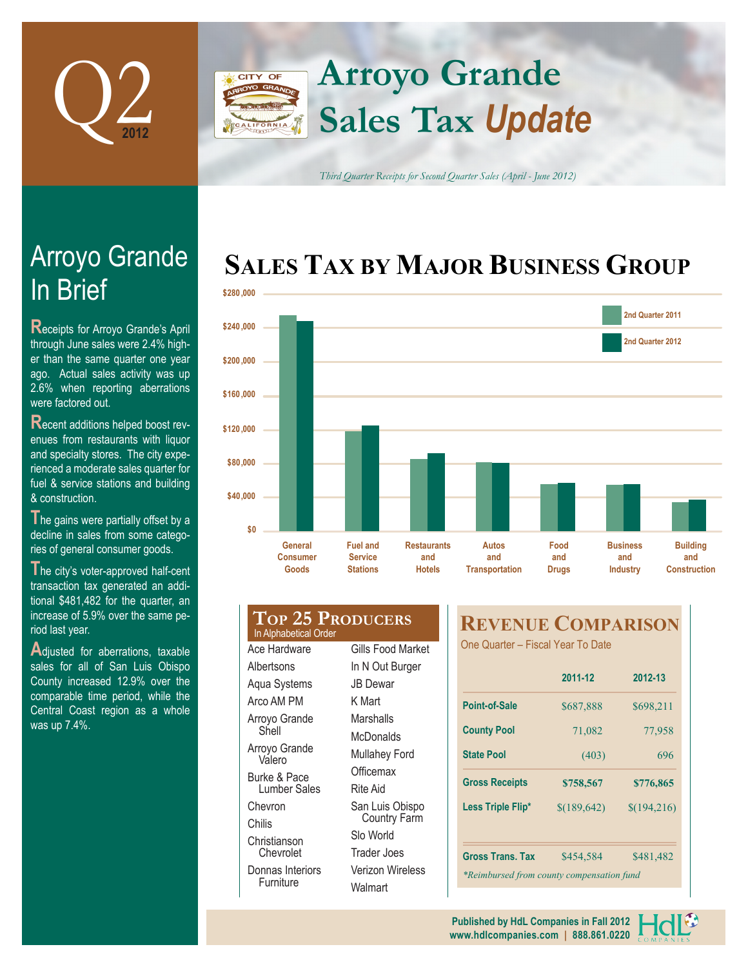

## **Arroyo Grande** CITY OF **Sales Tax** *Update*

*Third Quarter Receipts for Second Quarter Sales (April - June 2012)*

## **SALES TAX BY MAJOR BUSINESS GROUP**



# In Brief Arroyo Grande

**Receipts for Arroyo Grande's April** through June sales were 2.4% higher than the same quarter one year ago. Actual sales activity was up 2.6% when reporting aberrations were factored out.

**R**ecent additions helped boost revenues from restaurants with liquor and specialty stores. The city experienced a moderate sales quarter for fuel & service stations and building & construction.

The gains were partially offset by a decline in sales from some categories of general consumer goods.

**T**he city's voter-approved half-cent transaction tax generated an additional \$481,482 for the quarter, an increase of 5.9% over the same period last year.

Adjusted for aberrations, taxable sales for all of San Luis Obispo County increased 12.9% over the comparable time period, while the Central Coast region as a whole was up 7.4%.

#### **Top 25 Producers** In Alphabetical Order Ace Hardware

**Albertsons** Aqua Systems Arco AM PM Arroyo Grande Shell Arroyo Grande Valero Burke & Pace Lumber Sales **Chevron** Chilis Christianson Chevrolet Donnas Interiors Furniture

Gills Food Market In N Out Burger JB Dewar K Mart Marshalls **McDonalds** Mullahey Ford **Officemax** Rite Aid San Luis Obispo Country Farm Slo World Trader Joes Verizon Wireless **Walmart** 

### **REVENUE COMPARISON**

One Quarter – Fiscal Year To Date

|                                           | 2011-12      | 2012-13     |  |  |  |  |
|-------------------------------------------|--------------|-------------|--|--|--|--|
| Point-of-Sale                             | \$687,888    | \$698,211   |  |  |  |  |
| <b>County Pool</b>                        | 71,082       | 77,958      |  |  |  |  |
| <b>State Pool</b>                         | (403)        | 696         |  |  |  |  |
| <b>Gross Receipts</b>                     | \$758,567    | \$776,865   |  |  |  |  |
| Less Triple Flip*                         | \$(189, 642) | \$(194,216) |  |  |  |  |
|                                           |              |             |  |  |  |  |
| <b>Gross Trans. Tax</b>                   | \$454,584    | \$481,482   |  |  |  |  |
| *Reimbursed from county compensation fund |              |             |  |  |  |  |